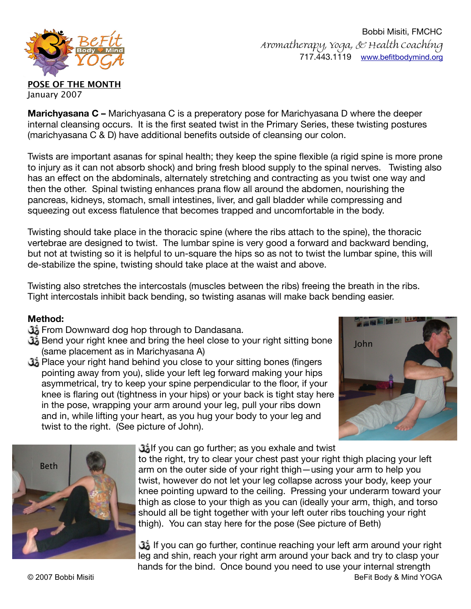

 Bobbi Misiti, FMCHC Aromatherapy, Yoga, & Health Coaching 717.443.1119 [www.befitbodymind.org](http://www.befitbodymind.org)

**Marichyasana C –** Marichyasana C is a preperatory pose for Marichyasana D where the deeper internal cleansing occurs. It is the first seated twist in the Primary Series, these twisting postures (marichyasana C & D) have additional benefits outside of cleansing our colon.

Twists are important asanas for spinal health; they keep the spine flexible (a rigid spine is more prone to injury as it can not absorb shock) and bring fresh blood supply to the spinal nerves. Twisting also has an effect on the abdominals, alternately stretching and contracting as you twist one way and then the other. Spinal twisting enhances prana flow all around the abdomen, nourishing the pancreas, kidneys, stomach, small intestines, liver, and gall bladder while compressing and squeezing out excess flatulence that becomes trapped and uncomfortable in the body.

Twisting should take place in the thoracic spine (where the ribs attach to the spine), the thoracic vertebrae are designed to twist. The lumbar spine is very good a forward and backward bending, but not at twisting so it is helpful to un-square the hips so as not to twist the lumbar spine, this will de-stabilize the spine, twisting should take place at the waist and above.

Twisting also stretches the intercostals (muscles between the ribs) freeing the breath in the ribs. Tight intercostals inhibit back bending, so twisting asanas will make back bending easier.

## **Method:**

- From Downward dog hop through to Dandasana.
- Bend your right knee and bring the heel close to your right sitting bone (same placement as in Marichyasana A)
- Place your right hand behind you close to your sitting bones (fingers pointing away from you), slide your left leg forward making your hips asymmetrical, try to keep your spine perpendicular to the floor, if your knee is flaring out (tightness in your hips) or your back is tight stay here in the pose, wrapping your arm around your leg, pull your ribs down and in, while lifting your heart, as you hug your body to your leg and twist to the right. (See picture of John).





If you can go further; as you exhale and twist

to the right, try to clear your chest past your right thigh placing your left arm on the outer side of your right thigh—using your arm to help you twist, however do not let your leg collapse across your body, keep your knee pointing upward to the ceiling. Pressing your underarm toward your thigh as close to your thigh as you can (ideally your arm, thigh, and torso should all be tight together with your left outer ribs touching your right thigh). You can stay here for the pose (See picture of Beth)

 If you can go further, continue reaching your left arm around your right leg and shin, reach your right arm around your back and try to clasp your hands for the bind. Once bound you need to use your internal strength